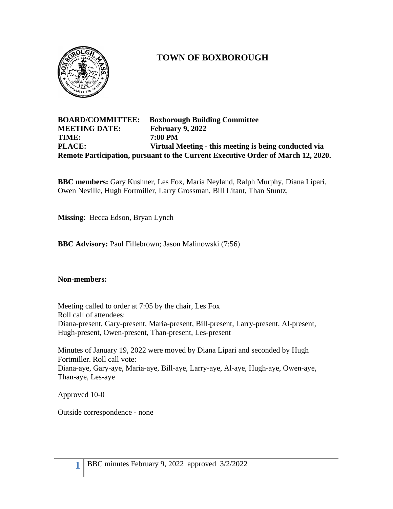

# **TOWN OF BOXBOROUGH**

### **BOARD/COMMITTEE: Boxborough Building Committee MEETING DATE: February 9, 2022 TIME: 7:00 PM PLACE: Virtual Meeting - this meeting is being conducted via Remote Participation, pursuant to the Current Executive Order of March 12, 2020.**

**BBC members:** Gary Kushner, Les Fox, Maria Neyland, Ralph Murphy, Diana Lipari, Owen Neville, Hugh Fortmiller, Larry Grossman, Bill Litant, Than Stuntz,

**Missing**: Becca Edson, Bryan Lynch

**BBC Advisory:** Paul Fillebrown; Jason Malinowski (7:56)

### **Non-members:**

Meeting called to order at 7:05 by the chair, Les Fox Roll call of attendees: Diana-present, Gary-present, Maria-present, Bill-present, Larry-present, Al-present, Hugh-present, Owen-present, Than-present, Les-present

Minutes of January 19, 2022 were moved by Diana Lipari and seconded by Hugh Fortmiller. Roll call vote: Diana-aye, Gary-aye, Maria-aye, Bill-aye, Larry-aye, Al-aye, Hugh-aye, Owen-aye, Than-aye, Les-aye

Approved 10-0

Outside correspondence - none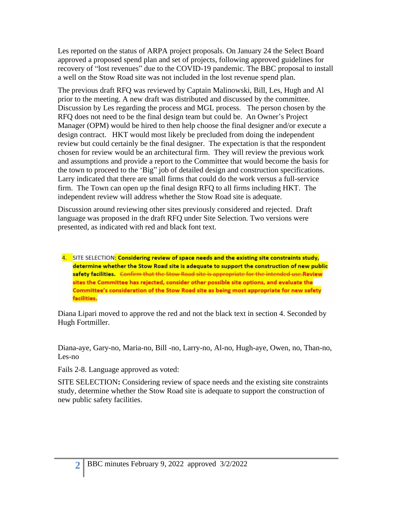Les reported on the status of ARPA project proposals. On January 24 the Select Board approved a proposed spend plan and set of projects, following approved guidelines for recovery of "lost revenues" due to the COVID-19 pandemic. The BBC proposal to install a well on the Stow Road site was not included in the lost revenue spend plan.

The previous draft RFQ was reviewed by Captain Malinowski, Bill, Les, Hugh and Al prior to the meeting. A new draft was distributed and discussed by the committee. Discussion by Les regarding the process and MGL process. The person chosen by the RFQ does not need to be the final design team but could be. An Owner's Project Manager (OPM) would be hired to then help choose the final designer and/or execute a design contract. HKT would most likely be precluded from doing the independent review but could certainly be the final designer. The expectation is that the respondent chosen for review would be an architectural firm. They will review the previous work and assumptions and provide a report to the Committee that would become the basis for the town to proceed to the 'Big" job of detailed design and construction specifications. Larry indicated that there are small firms that could do the work versus a full-service firm. The Town can open up the final design RFQ to all firms including HKT. The independent review will address whether the Stow Road site is adequate.

Discussion around reviewing other sites previously considered and rejected. Draft language was proposed in the draft RFQ under Site Selection. Two versions were presented, as indicated with red and black font text.

4. SITE SELECTION: Considering review of space needs and the existing site constraints study, determine whether the Stow Road site is adequate to support the construction of new public safety facilities. Confirm that the Stow Road site is appropriate for the intended use Review sites the Committee has rejected, consider other possible site options, and evaluate the Committee's consideration of the Stow Road site as being most appropriate for new safety facilities.

Diana Lipari moved to approve the red and not the black text in section 4. Seconded by Hugh Fortmiller.

Diana-aye, Gary-no, Maria-no, Bill -no, Larry-no, Al-no, Hugh-aye, Owen, no, Than-no, Les-no

Fails 2-8. Language approved as voted:

SITE SELECTION**:** Considering review of space needs and the existing site constraints study, determine whether the Stow Road site is adequate to support the construction of new public safety facilities.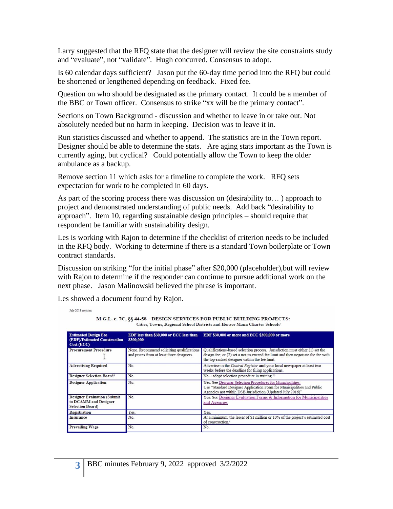Larry suggested that the RFQ state that the designer will review the site constraints study and "evaluate", not "validate". Hugh concurred. Consensus to adopt.

Is 60 calendar days sufficient? Jason put the 60-day time period into the RFQ but could be shortened or lengthened depending on feedback. Fixed fee.

Question on who should be designated as the primary contact. It could be a member of the BBC or Town officer. Consensus to strike "xx will be the primary contact".

Sections on Town Background - discussion and whether to leave in or take out. Not absolutely needed but no harm in keeping. Decision was to leave it in.

Run statistics discussed and whether to append. The statistics are in the Town report. Designer should be able to determine the stats. Are aging stats important as the Town is currently aging, but cyclical? Could potentially allow the Town to keep the older ambulance as a backup.

Remove section 11 which asks for a timeline to complete the work. RFQ sets expectation for work to be completed in 60 days.

As part of the scoring process there was discussion on (desirability to… ) approach to project and demonstrated understanding of public needs. Add back "desirability to approach". Item 10, regarding sustainable design principles – should require that respondent be familiar with sustainability design.

Les is working with Rajon to determine if the checklist of criterion needs to be included in the RFQ body. Working to determine if there is a standard Town boilerplate or Town contract standards.

Discussion on striking "for the initial phase" after \$20,000 (placeholder),but will review with Rajon to determine if the responder can continue to pursue additional work on the next phase. Jason Malinowski believed the phrase is important.

Les showed a document found by Rajon.

July 2018 revision

| $\cdots$<br>Cities, Towns, Regional School Districts and Horace Mann Charter Schools'  |                                                                                        |                                                                                                                                                                                                                   |  |  |  |
|----------------------------------------------------------------------------------------|----------------------------------------------------------------------------------------|-------------------------------------------------------------------------------------------------------------------------------------------------------------------------------------------------------------------|--|--|--|
| <b>Estimated Design Fee</b><br><b>(EDF)/Estimated Construction</b><br>Cost (ECC)       | EDF less than \$30,000 or ECC less than<br>\$300,000                                   | EDF \$30,000 or more and ECC \$300,000 or more                                                                                                                                                                    |  |  |  |
| <b>Procurement Procedure</b>                                                           | None. Recommend soliciting qualifications<br>and prices from at least three designers. | Qualifications-based selection process. Jurisdiction must either (1) set the<br>design fee; or (2) set a not-to-exceed fee limit and then negotiate the fee with<br>the top-ranked designer within the fee limit. |  |  |  |
| <b>Advertising Required</b>                                                            | No.                                                                                    | Advertise in the Central Register and your local newspaper at least two<br>weeks before the deadline for filing applications.                                                                                     |  |  |  |
| Designer Selection Board <sup>1</sup>                                                  | No.                                                                                    | No - adopt selection procedure in writing. <sup>34</sup>                                                                                                                                                          |  |  |  |
| <b>Designer Application</b>                                                            | No.                                                                                    | Yes. See Designer Selection Procedures for Municipalities.<br>Use "Standard Designer Application Form for Municipalities and Public<br>Agencies not within DSB Jurisdiction (Updated July 2016)"                  |  |  |  |
| <b>Designer Evaluation (Submit</b><br>to DCAMM and Designer<br><b>Selection Board)</b> | No.                                                                                    | Yes. See Designer Evaluation Forms & Information for Municipalities<br>and Agencies                                                                                                                               |  |  |  |
| Registration                                                                           | Yes.                                                                                   | Yes.                                                                                                                                                                                                              |  |  |  |
| <b>Insurance</b>                                                                       | No.                                                                                    | At a minimum, the lesser of \$1 million or 10% of the project's estimated cost<br>of construction. <sup>4</sup>                                                                                                   |  |  |  |
| <b>Prevailing Wage</b>                                                                 | No.                                                                                    | No.                                                                                                                                                                                                               |  |  |  |

M.G.L. c. 7C, §§ 44-58 - DESIGN SERVICES FOR PUBLIC BUILDING PROJECTS: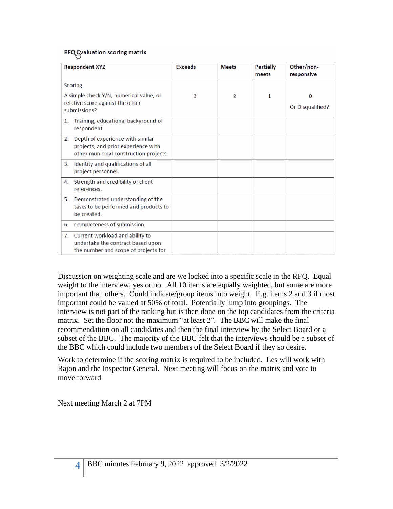### RFQ Fvaluation scoring matrix

| <b>Respondent XYZ</b>                                                                                                   | <b>Exceeds</b> | <b>Meets</b>   | <b>Partially</b><br>meets | Other/non-<br>responsive     |
|-------------------------------------------------------------------------------------------------------------------------|----------------|----------------|---------------------------|------------------------------|
| <b>Scoring</b>                                                                                                          |                |                |                           |                              |
| A simple check Y/N, numerical value, or<br>relative score against the other<br>submissions?                             | 3              | $\overline{2}$ | 1                         | $\bf{0}$<br>Or Disqualified? |
| Training, educational background of<br>1.<br>respondent                                                                 |                |                |                           |                              |
| Depth of experience with similar<br>2.<br>projects, and prior experience with<br>other municipal construction projects. |                |                |                           |                              |
| Identity and qualifications of all<br>3.<br>project personnel.                                                          |                |                |                           |                              |
| Strength and credibility of client<br>4.<br>references.                                                                 |                |                |                           |                              |
| Demonstrated understanding of the<br>5.<br>tasks to be performed and products to<br>be created.                         |                |                |                           |                              |
| Completeness of submission.<br>6.                                                                                       |                |                |                           |                              |
| Current workload and ability to<br>7.<br>undertake the contract based upon<br>the number and scope of projects for      |                |                |                           |                              |

Discussion on weighting scale and are we locked into a specific scale in the RFQ. Equal weight to the interview, yes or no. All 10 items are equally weighted, but some are more important than others. Could indicate/group items into weight. E.g. items 2 and 3 if most important could be valued at 50% of total. Potentially lump into groupings. The interview is not part of the ranking but is then done on the top candidates from the criteria matrix. Set the floor not the maximum "at least 2". The BBC will make the final recommendation on all candidates and then the final interview by the Select Board or a subset of the BBC. The majority of the BBC felt that the interviews should be a subset of the BBC which could include two members of the Select Board if they so desire.

Work to determine if the scoring matrix is required to be included. Les will work with Rajon and the Inspector General. Next meeting will focus on the matrix and vote to move forward

Next meeting March 2 at 7PM